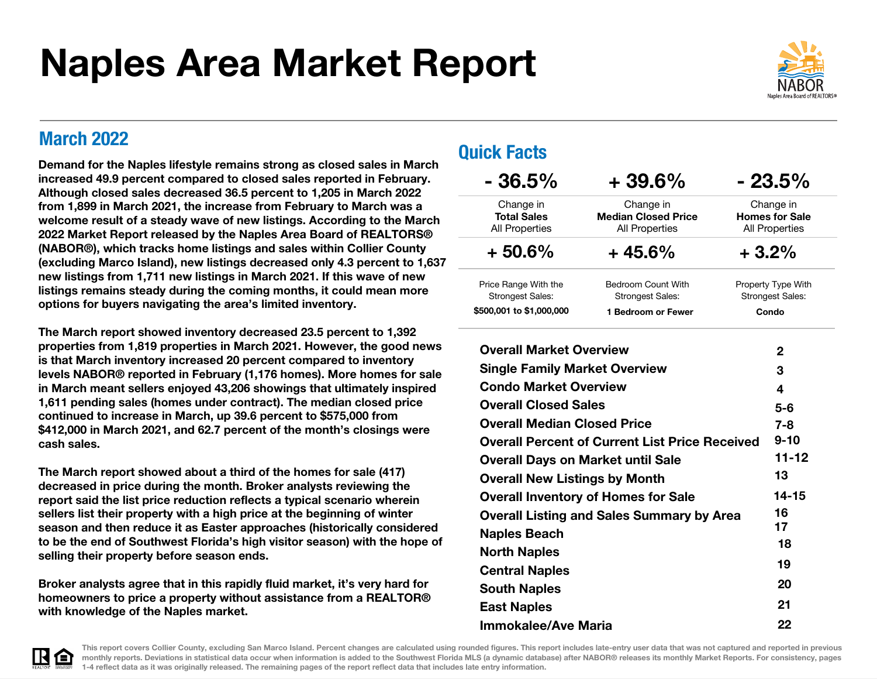# Naples Area Market Report



March 2022<br>
and the state of the state of the state of the **Quick Facts** Demand for the Naples lifestyle remains strong as closed sales in March increased 49.9 percent compared to closed sales reported in February. Although closed sales decreased 36.5 percent to 1,205 in March 2022 from 1,899 in March 2021, the increase from February to March was a welcome result of a steady wave of new listings. According to the March 2022 Market Report released by the Naples Area Board of REALTORS® (NABOR®), which tracks home listings and sales within Collier County (excluding Marco Island), new listings decreased only 4.3 percent to 1,637 new listings from 1,711 new listings in March 2021. If this wave of new listings remains steady during the coming months, it could mean more options for buyers navigating the area's limited inventory.

The March report showed inventory decreased 23.5 percent to 1,392 properties from 1,819 properties in March 2021. However, the good news is that March inventory increased 20 percent compared to inventory levels NABOR® reported in February (1,176 homes). More homes for sale in March meant sellers enjoyed 43,206 showings that ultimately inspired 1,611 pending sales (homes under contract). The median closed price continued to increase in March, up 39.6 percent to \$575,000 from \$412,000 in March 2021, and 62.7 percent of the month's closings were cash sales.

The March report showed about a third of the homes for sale (417) decreased in price during the month. Broker analysts reviewing the report said the list price reduction reflects a typical scenario wherein sellers list their property with a high price at the beginning of winter season and then reduce it as Easter approaches (historically considered to be the end of Southwest Florida's high visitor season) with the hope of selling their property before season ends.

Broker analysts agree that in this rapidly fluid market, it's very hard for homeowners to price a property without assistance from a REALTOR® with knowledge of the Naples market.

| $-36.5\%$                                         | $+39.6%$                                                         |         | $-23.5\%$                                            |
|---------------------------------------------------|------------------------------------------------------------------|---------|------------------------------------------------------|
| Change in<br><b>Total Sales</b><br>All Properties | Change in<br><b>Median Closed Price</b><br><b>All Properties</b> |         | Change in<br><b>Homes for Sale</b><br>All Properties |
| $+50.6%$                                          | $+45.6%$                                                         | $+3.2%$ |                                                      |
| Price Range With the<br><b>Strongest Sales:</b>   | Bedroom Count With<br><b>Strongest Sales:</b>                    |         | Property Type With<br><b>Strongest Sales:</b>        |
| \$500,001 to \$1,000,000                          | 1 Bedroom or Fewer                                               |         | Condo                                                |
| <b>Overall Market Overview</b>                    |                                                                  |         | $\mathbf{2}$                                         |
| <b>Single Family Market Overview</b>              |                                                                  |         | 3                                                    |
| <b>Condo Market Overview</b>                      |                                                                  |         | 4                                                    |
| <b>Overall Closed Sales</b>                       |                                                                  |         | $5-6$                                                |
| <b>Overall Median Closed Price</b>                |                                                                  |         | $7 - 8$                                              |
|                                                   | <b>Overall Percent of Current List Price Received</b>            |         | $9 - 10$                                             |
| <b>Overall Days on Market until Sale</b>          |                                                                  |         | $11 - 12$                                            |
| <b>Overall New Listings by Month</b>              |                                                                  |         | 13                                                   |
|                                                   | <b>Overall Inventory of Homes for Sale</b>                       |         | $14 - 15$                                            |
|                                                   | <b>Overall Listing and Sales Summary by Area</b>                 |         | 16<br>17                                             |
| <b>Naples Beach</b>                               |                                                                  |         | 18                                                   |
| <b>North Naples</b>                               |                                                                  |         | 19                                                   |
| <b>Central Naples</b>                             |                                                                  |         | 20                                                   |
| <b>South Naples</b>                               |                                                                  |         | 21                                                   |
| <b>East Naples</b>                                |                                                                  |         | 22                                                   |
| Immokalee/Ave Maria                               |                                                                  |         |                                                      |



This report covers Collier County, excluding San Marco Island. Percent changes are calculated using rounded figures. This report includes late-entry user data that was not captured and reported in previous monthly reports. Deviations in statistical data occur when information is added to the Southwest Florida MLS (a dynamic database) after NABOR® releases its monthly Market Reports. For consistency, pages 1-4 reflect data as it was originally released. The remaining pages of the report reflect data that includes late entry information.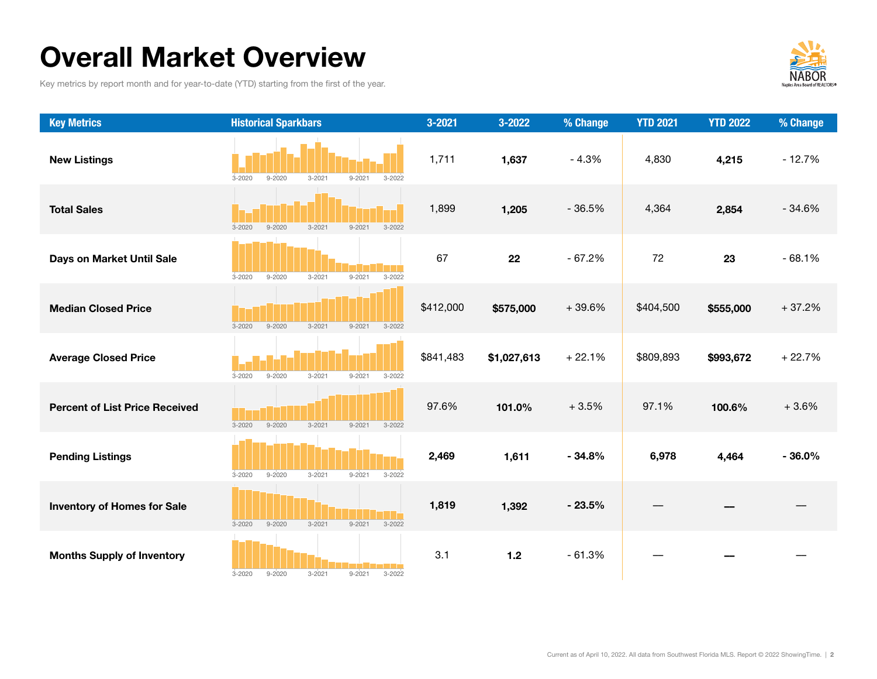## Overall Market Overview

Key metrics by report month and for year-to-date (YTD) starting from the first of the year.



| <b>Key Metrics</b>                    | <b>Historical Sparkbars</b>                                        | 3-2021    | 3-2022      | % Change | <b>YTD 2021</b> | <b>YTD 2022</b> | % Change |
|---------------------------------------|--------------------------------------------------------------------|-----------|-------------|----------|-----------------|-----------------|----------|
| <b>New Listings</b>                   | $3 - 2021$<br>$9 - 2020$<br>$9 - 2021$<br>$3 - 2020$<br>$3 - 2022$ | 1,711     | 1,637       | $-4.3%$  | 4,830           | 4,215           | $-12.7%$ |
| <b>Total Sales</b>                    | $9 - 2020$<br>$3 - 2021$<br>$9 - 2021$<br>$3 - 2020$<br>$3 - 2022$ | 1,899     | 1,205       | $-36.5%$ | 4,364           | 2,854           | $-34.6%$ |
| Days on Market Until Sale             | $3 - 2021$<br>$9 - 2021$<br>$3 - 2020$<br>$9 - 2020$<br>$3 - 2022$ | 67        | 22          | $-67.2%$ | 72              | 23              | $-68.1%$ |
| <b>Median Closed Price</b>            | $3 - 2021$<br>$9 - 2021$<br>$3 - 2020$<br>$9 - 2020$<br>$3 - 2022$ | \$412,000 | \$575,000   | $+39.6%$ | \$404,500       | \$555,000       | $+37.2%$ |
| <b>Average Closed Price</b>           | $3 - 2021$<br>$9 - 2021$<br>$3 - 2020$<br>$9 - 2020$<br>$3 - 2022$ | \$841,483 | \$1,027,613 | $+22.1%$ | \$809,893       | \$993,672       | $+22.7%$ |
| <b>Percent of List Price Received</b> | $3 - 2020$<br>$9 - 2020$<br>$3 - 2021$<br>$9 - 2021$<br>$3 - 2022$ | 97.6%     | 101.0%      | $+3.5%$  | 97.1%           | 100.6%          | $+3.6%$  |
| <b>Pending Listings</b>               | $3 - 2021$<br>$3 - 2020$<br>$9 - 2020$<br>$9 - 2021$<br>$3 - 2022$ | 2,469     | 1,611       | $-34.8%$ | 6,978           | 4,464           | $-36.0%$ |
| <b>Inventory of Homes for Sale</b>    | $3 - 2021$<br>$9 - 2021$<br>$3 - 2020$<br>$9 - 2020$<br>$3 - 2022$ | 1,819     | 1,392       | $-23.5%$ |                 |                 |          |
| <b>Months Supply of Inventory</b>     | $3 - 2021$<br>$9 - 2021$<br>$3 - 2020$<br>$9 - 2020$<br>$3 - 2022$ | 3.1       | $1.2$       | $-61.3%$ |                 |                 |          |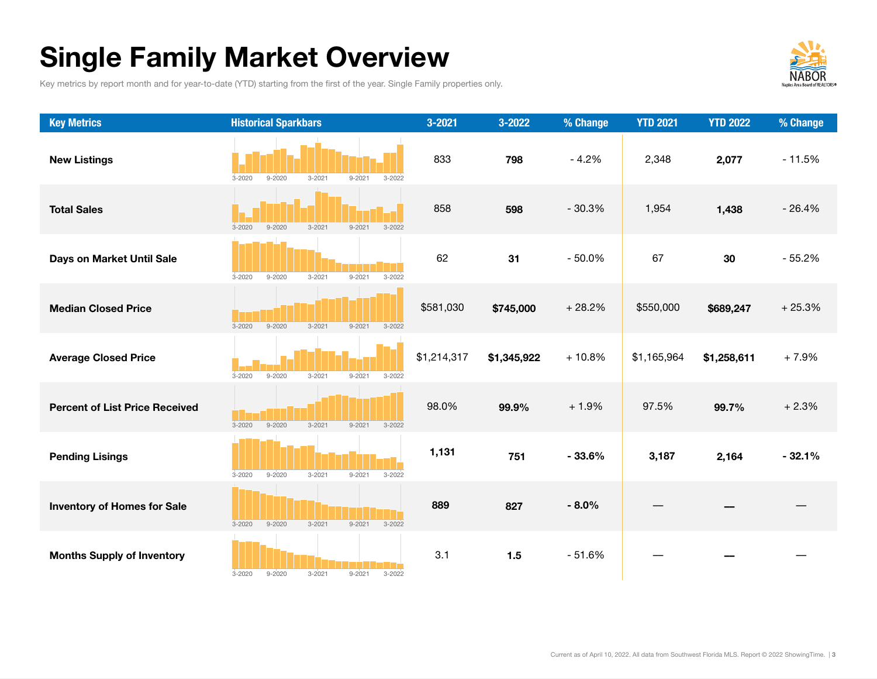# Single Family Market Overview

Key metrics by report month and for year-to-date (YTD) starting from the first of the year. Single Family properties only.



| <b>Key Metrics</b>                    | <b>Historical Sparkbars</b>                                        | 3-2021      | 3-2022      | % Change | <b>YTD 2021</b> | <b>YTD 2022</b> | % Change |
|---------------------------------------|--------------------------------------------------------------------|-------------|-------------|----------|-----------------|-----------------|----------|
| <b>New Listings</b>                   | $3 - 2021$<br>$3 - 2020$<br>$9 - 2020$<br>$9 - 2021$<br>$3 - 2022$ | 833         | 798         | $-4.2%$  | 2,348           | 2,077           | $-11.5%$ |
| <b>Total Sales</b>                    | $3 - 2020$<br>$9 - 2020$<br>$3 - 2021$<br>$9 - 2021$<br>$3 - 2022$ | 858         | 598         | $-30.3%$ | 1,954           | 1,438           | $-26.4%$ |
| Days on Market Until Sale             | $9 - 2020$<br>$3 - 2021$<br>$9 - 2021$<br>$3 - 2022$<br>$3 - 2020$ | 62          | 31          | $-50.0%$ | 67              | 30              | $-55.2%$ |
| <b>Median Closed Price</b>            | $3 - 2021$<br>$3 - 2020$<br>$9 - 2020$<br>$9 - 2021$<br>$3 - 2022$ | \$581,030   | \$745,000   | $+28.2%$ | \$550,000       | \$689,247       | $+25.3%$ |
| <b>Average Closed Price</b>           | $3 - 2021$<br>$3 - 2020$<br>$9 - 2020$<br>$9 - 2021$<br>$3 - 2022$ | \$1,214,317 | \$1,345,922 | $+10.8%$ | \$1,165,964     | \$1,258,611     | $+7.9%$  |
| <b>Percent of List Price Received</b> | $9 - 2020$<br>$3 - 2020$<br>$3 - 2021$<br>$9 - 2021$<br>$3 - 2022$ | 98.0%       | 99.9%       | $+1.9%$  | 97.5%           | 99.7%           | $+2.3%$  |
| <b>Pending Lisings</b>                | $3 - 2020$<br>$9 - 2020$<br>$3 - 2021$<br>$9 - 2021$<br>$3 - 2022$ | 1,131       | 751         | $-33.6%$ | 3,187           | 2,164           | $-32.1%$ |
| <b>Inventory of Homes for Sale</b>    | $3 - 2021$<br>$3 - 2020$<br>$9 - 2020$<br>$9 - 2021$<br>$3 - 2022$ | 889         | 827         | $-8.0%$  |                 |                 |          |
| <b>Months Supply of Inventory</b>     | $3 - 2020$<br>$9 - 2020$<br>$3 - 2021$<br>$9 - 2021$<br>$3 - 2022$ | 3.1         | $1.5$       | $-51.6%$ |                 |                 |          |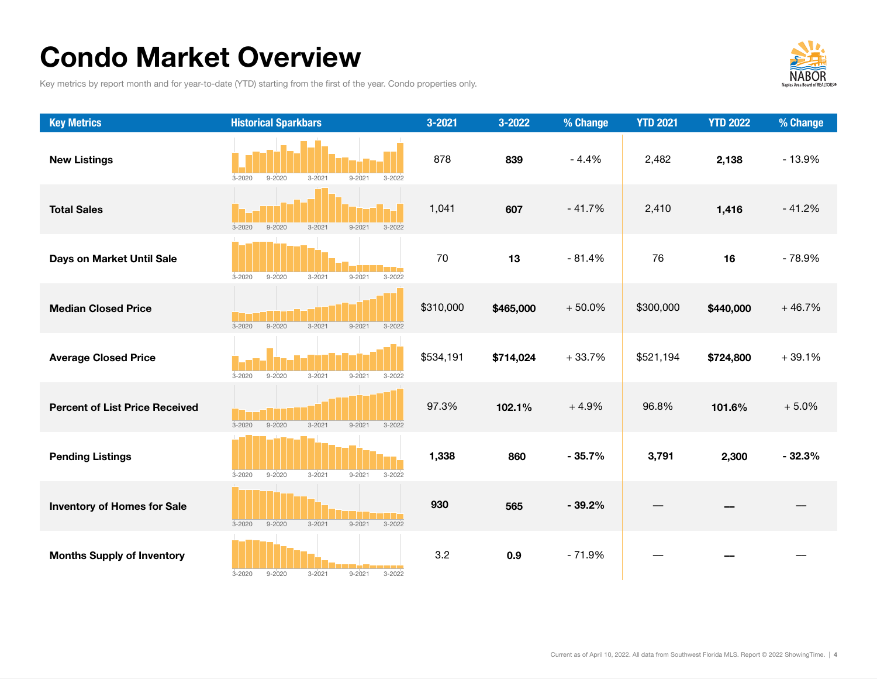# Condo Market Overview

Key metrics by report month and for year-to-date (YTD) starting from the first of the year. Condo properties only.



| <b>Key Metrics</b>                    | <b>Historical Sparkbars</b>                                        | 3-2021    | 3-2022    | % Change | <b>YTD 2021</b> | <b>YTD 2022</b> | % Change |
|---------------------------------------|--------------------------------------------------------------------|-----------|-----------|----------|-----------------|-----------------|----------|
| <b>New Listings</b>                   | $9 - 2020$<br>$3 - 2021$<br>$9 - 2021$<br>$3 - 2020$<br>$3 - 2022$ | 878       | 839       | $-4.4%$  | 2,482           | 2,138           | $-13.9%$ |
| <b>Total Sales</b>                    | $3 - 2021$<br>$3 - 2020$<br>$9 - 2020$<br>$9 - 2021$<br>$3 - 2022$ | 1,041     | 607       | $-41.7%$ | 2,410           | 1,416           | $-41.2%$ |
| Days on Market Until Sale             | $3 - 2020$<br>$9 - 2020$<br>$3 - 2021$<br>$9 - 2021$<br>$3 - 2022$ | 70        | 13        | $-81.4%$ | 76              | 16              | $-78.9%$ |
| <b>Median Closed Price</b>            | $9 - 2020$<br>$3 - 2021$<br>$9 - 2021$<br>$3 - 2020$<br>$3 - 2022$ | \$310,000 | \$465,000 | $+50.0%$ | \$300,000       | \$440,000       | $+46.7%$ |
| <b>Average Closed Price</b>           | $9 - 2020$<br>$3 - 2021$<br>$9 - 2021$<br>$3 - 2020$<br>$3 - 2022$ | \$534,191 | \$714,024 | $+33.7%$ | \$521,194       | \$724,800       | $+39.1%$ |
| <b>Percent of List Price Received</b> | $9 - 2020$<br>$3 - 2021$<br>$3 - 2020$<br>$9 - 2021$<br>$3 - 2022$ | 97.3%     | 102.1%    | $+4.9%$  | 96.8%           | 101.6%          | $+5.0%$  |
| <b>Pending Listings</b>               | $9 - 2020$<br>$3 - 2021$<br>$3 - 2020$<br>$9 - 2021$<br>$3 - 2022$ | 1,338     | 860       | $-35.7%$ | 3,791           | 2,300           | $-32.3%$ |
| <b>Inventory of Homes for Sale</b>    | $9 - 2020$<br>$3 - 2021$<br>$9 - 2021$<br>$3 - 2022$<br>$3 - 2020$ | 930       | 565       | $-39.2%$ |                 |                 |          |
| <b>Months Supply of Inventory</b>     | $9 - 2020$<br>$3 - 2021$<br>$9 - 2021$<br>$3 - 2020$<br>$3 - 2022$ | 3.2       | 0.9       | $-71.9%$ |                 |                 |          |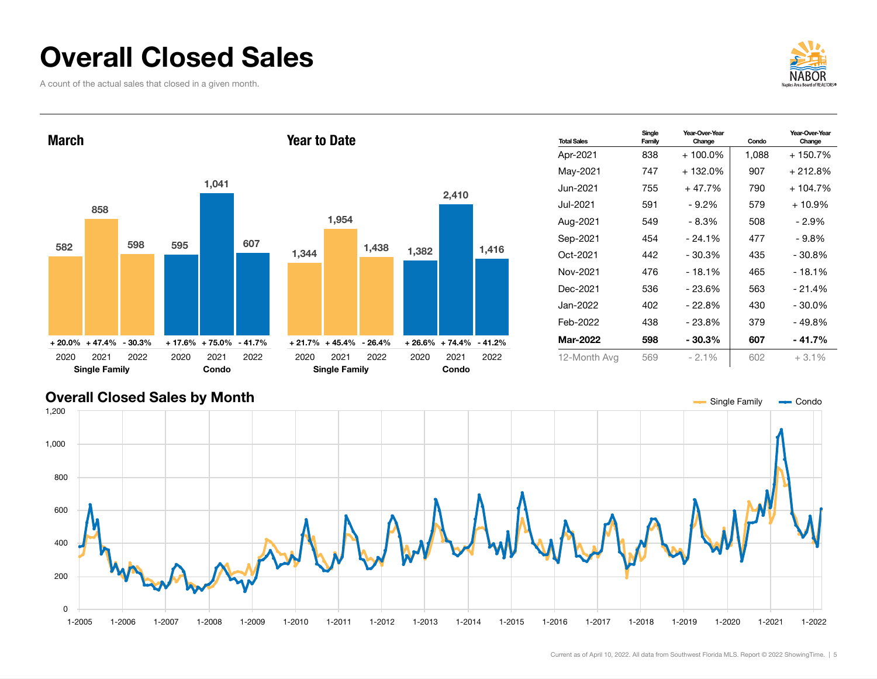## Overall Closed Sales

A count of the actual sales that closed in a given month.





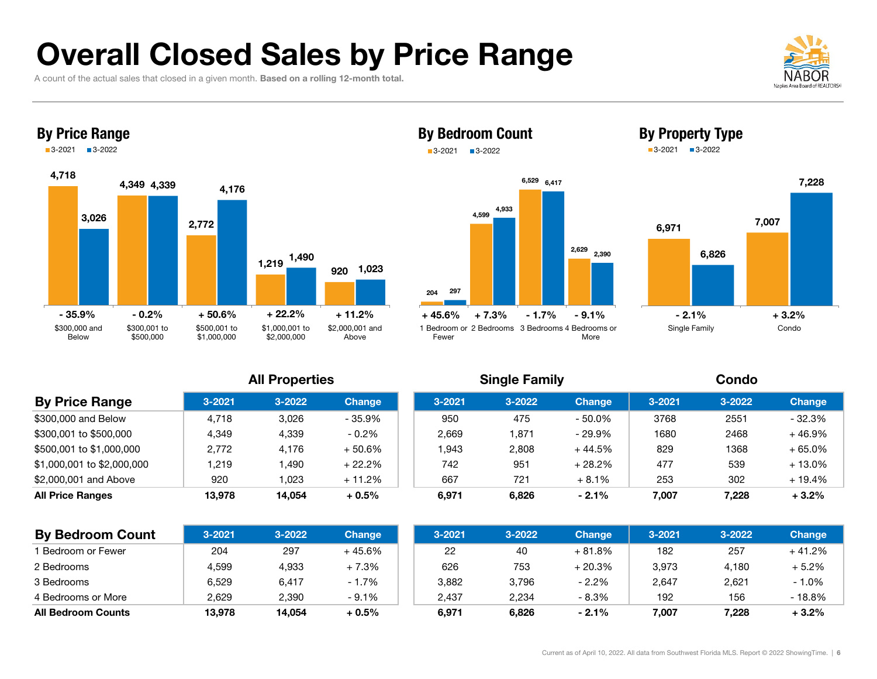# Overall Closed Sales by Price Range

A count of the actual sales that closed in a given month. **Based on a rolling 12-month total.** 





#### By Bedroom Count 3-2021 3-2022





By Property Type 3-2021 3-2022

#### All Properties Single Family Condo

| , , , , , , , , , , , , , , , |            |            |               |            | <b>URING LURING</b> |               | ------     |        |               |  |  |
|-------------------------------|------------|------------|---------------|------------|---------------------|---------------|------------|--------|---------------|--|--|
| <b>By Price Range</b>         | $3 - 2021$ | $3 - 2022$ | <b>Change</b> | $3 - 2021$ | $3 - 2022$          | <b>Change</b> | $3 - 2021$ | 3-2022 | <b>Change</b> |  |  |
| \$300,000 and Below           | 4.718      | 3,026      | $-35.9%$      | 950        | 475                 | - 50.0%       | 3768       | 2551   | $-32.3%$      |  |  |
| \$300,001 to \$500,000        | 4.349      | 4,339      | $-0.2\%$      | 2,669      | 1,871               | - 29.9%       | 1680       | 2468   | $+46.9%$      |  |  |
| \$500,001 to \$1,000,000      | 2.772      | 4,176      | $+50.6%$      | .943       | 2,808               | + 44.5%       | 829        | 1368   | $+65.0%$      |  |  |
| \$1,000,001 to \$2,000,000    | 1.219      | .490,      | $+22.2%$      | 742        | 951                 | $+28.2%$      | 477        | 539    | $+13.0\%$     |  |  |
| \$2,000,001 and Above         | 920        | 1,023      | $+11.2%$      | 667        | 721                 | $+8.1%$       | 253        | 302    | $+19.4%$      |  |  |
| <b>All Price Ranges</b>       | 13,978     | 14.054     | $+0.5%$       | 6,971      | 6,826               | $-2.1%$       | 7,007      | 7,228  | $+3.2%$       |  |  |

| <b>By Bedroom Count</b>       | $3 - 2021$ | $3 - 2022$ | <b>Change</b> | $3 - 2021$ | 3-2022 | <b>Change</b> | $3 - 2021$ | 3-2022 | <b>Change</b> |
|-------------------------------|------------|------------|---------------|------------|--------|---------------|------------|--------|---------------|
| <sup>1</sup> Bedroom or Fewer | 204        | 297        | + 45.6%       | 22         | 40     | $+81.8%$      | 182        | 257    | + 41.2%       |
| 2 Bedrooms                    | 4,599      | 4,933      | $+7.3%$       | 626        | 753    | + 20.3%       | 3,973      | 4.180  | $+5.2%$       |
| 3 Bedrooms                    | 6.529      | 6.417      | $-1.7%$       | 3,882      | 3.796  | $-2.2%$       | 2,647      | 2,621  | $-1.0%$       |
| 4 Bedrooms or More            | 2.629      | 2.390      | $-9.1%$       | 2.437      | 2,234  | - 8.3%        | 192        | 156    | $-18.8%$      |
| <b>All Bedroom Counts</b>     | 13,978     | 14.054     | $+0.5%$       | 6.971      | 6,826  | $-2.1%$       | 7,007      | 7.228  | $+3.2%$       |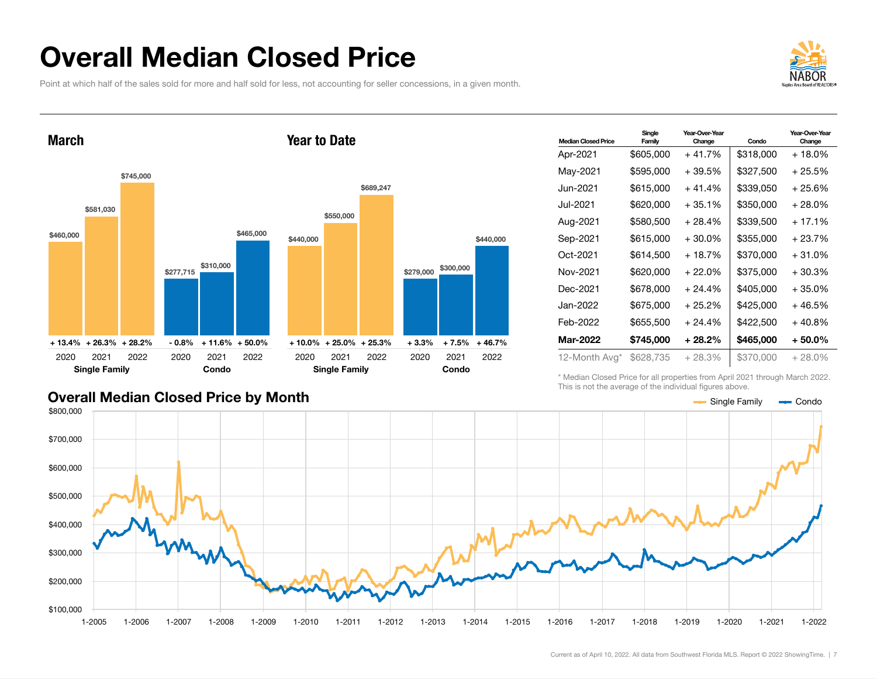### Overall Median Closed Price

Point at which half of the sales sold for more and half sold for less, not accounting for seller concessions, in a given month.





| <b>Median Closed Price</b> | Single<br>Family | Year-Over-Year<br>Change | Condo     | Year-Over-Year<br>Change |
|----------------------------|------------------|--------------------------|-----------|--------------------------|
| Apr-2021                   | \$605,000        | $+41.7%$                 | \$318,000 | + 18.0%                  |
| May-2021                   | \$595,000        | +39.5%                   | \$327,500 | + 25.5%                  |
| Jun-2021                   | \$615,000        | $+41.4%$                 | \$339,050 | + 25.6%                  |
| Jul-2021                   | \$620,000        | $+35.1%$                 | \$350,000 | + 28.0%                  |
| Aug-2021                   | \$580,500        | + 28.4%                  | \$339,500 | $+17.1%$                 |
| Sep-2021                   | \$615,000        | $+30.0%$                 | \$355,000 | $+23.7%$                 |
| Oct-2021                   | \$614,500        | + 18.7%                  | \$370,000 | + 31.0%                  |
| Nov-2021                   | \$620,000        | $+22.0\%$                | \$375,000 | $+30.3%$                 |
| Dec-2021                   | \$678,000        | $+24.4%$                 | \$405,000 | $+35.0%$                 |
| Jan-2022                   | \$675,000        | $+25.2\%$                | \$425.000 | + 46.5%                  |
| Feb-2022                   | \$655,500        | $+24.4%$                 | \$422.500 | $+40.8%$                 |
| <b>Mar-2022</b>            | \$745,000        | $+28.2\%$                | \$465,000 | $+50.0%$                 |
| 12-Month Avg*              | \$628,735        | $+28.3%$                 | \$370,000 | $+28.0\%$                |

#### Overall Median Closed Price by Month

\* Median Closed Price for all properties from April 2021 through March 2022. This is not the average of the individual figures above.

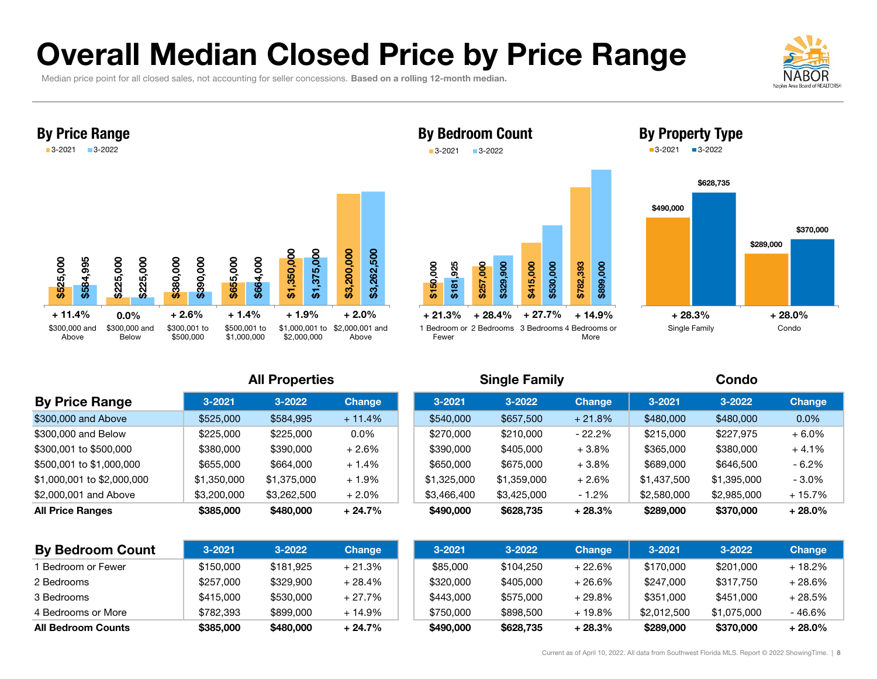# Overall Median Closed Price by Price Range

Median price point for all closed sales, not accounting for seller concessions. Based on a rolling 12-month median.





#### **All Properties**

| <b>By Price Range</b>      | $3 - 2021$  | 3-2022      | Change    | $3 - 2021$  | $3 - 2022$  | <b>Change</b> | $3 - 2021$  | $3 - 2022$  | <b>Change</b> |
|----------------------------|-------------|-------------|-----------|-------------|-------------|---------------|-------------|-------------|---------------|
| \$300,000 and Above        | \$525,000   | \$584,995   | $+11.4%$  | \$540,000   | \$657,500   | $+21.8%$      | \$480,000   | \$480,000   | $0.0\%$       |
| \$300,000 and Below        | \$225,000   | \$225,000   | $0.0\%$   | \$270,000   | \$210,000   | $-22.2\%$     | \$215,000   | \$227.975   | $+6.0%$       |
| \$300,001 to \$500,000     | \$380,000   | \$390,000   | $+2.6%$   | \$390,000   | \$405,000   | $+3.8%$       | \$365,000   | \$380,000   | $+4.1%$       |
| \$500,001 to \$1,000,000   | \$655,000   | \$664,000   | $+1.4%$   | \$650,000   | \$675,000   | $+3.8%$       | \$689,000   | \$646,500   | - 6.2%        |
| \$1,000,001 to \$2,000,000 | \$1,350,000 | \$1,375,000 | $+1.9\%$  | \$1,325,000 | \$1,359,000 | $+2.6%$       | \$1.437.500 | \$1,395,000 | $-3.0\%$      |
| \$2,000,001 and Above      | \$3,200,000 | \$3,262,500 | $+2.0\%$  | \$3,466,400 | \$3,425,000 | $-1.2%$       | \$2,580,000 | \$2,985,000 | $+15.7%$      |
| <b>All Price Ranges</b>    | \$385,000   | \$480,000   | $+24.7\%$ | \$490,000   | \$628,735   | $+28.3\%$     | \$289,000   | \$370,000   | $+28.0%$      |

|                            |             | <b>All Properties</b> |          |             | <b>Single Family</b> |               |             | Condo       |               |
|----------------------------|-------------|-----------------------|----------|-------------|----------------------|---------------|-------------|-------------|---------------|
| <b>By Price Range</b>      | $3 - 2021$  | $3 - 2022$            | Change   | $3 - 2021$  | $3 - 2022$           | <b>Change</b> | $3 - 2021$  | $3 - 2022$  | <b>Change</b> |
| \$300,000 and Above        | \$525,000   | \$584,995             | $+11.4%$ | \$540,000   | \$657,500            | $+21.8%$      | \$480,000   | \$480,000   | $0.0\%$       |
| \$300,000 and Below        | \$225,000   | \$225,000             | $0.0\%$  | \$270,000   | \$210,000            | - 22.2%       | \$215,000   | \$227,975   | $+6.0%$       |
| \$300,001 to \$500,000     | \$380,000   | \$390,000             | + 2.6%   | \$390,000   | \$405,000            | $+3.8\%$      | \$365,000   | \$380,000   | $+4.1%$       |
| \$500,001 to \$1,000,000   | \$655,000   | \$664,000             | + 1.4%   | \$650,000   | \$675,000            | $+3.8\%$      | \$689,000   | \$646,500   | $-6.2%$       |
| \$1,000,001 to \$2,000,000 | \$1,350,000 | \$1,375,000           | + 1.9%   | \$1,325,000 | \$1,359,000          | $+2.6\%$      | \$1,437,500 | \$1,395,000 | $-3.0%$       |
| \$2,000,001 and Above      | \$3,200,000 | \$3,262,500           | $+2.0\%$ | \$3,466,400 | \$3,425,000          | $-1.2%$       | \$2,580,000 | \$2,985,000 | $+15.7%$      |

| <b>By Bedroom Count</b> | $3 - 2021$ | $3 - 2022$ | <b>Change</b> | $3 - 2021$ | $3 - 2022$ | <b>Change</b> | $3 - 2021$  | 3-2022      | <b>Change</b> |
|-------------------------|------------|------------|---------------|------------|------------|---------------|-------------|-------------|---------------|
| l Bedroom or Fewer      | \$150,000  | \$181.925  | $+21.3%$      | \$85,000   | \$104,250  | $+22.6%$      | \$170,000   | \$201,000   | $+18.2%$      |
| 2 Bedrooms              | \$257,000  | \$329,900  | $+28.4%$      | \$320,000  | \$405,000  | $+26.6%$      | \$247,000   | \$317,750   | $+28.6%$      |
| 3 Bedrooms              | \$415,000  | \$530,000  | $+27.7%$      | \$443.000  | \$575,000  | $+29.8%$      | \$351,000   | \$451,000   | + 28.5%       |
| 4 Bedrooms or More      | \$782.393  | \$899,000  | $+14.9%$      | \$750.000  | \$898,500  | + 19.8%       | \$2,012,500 | \$1.075.000 | $-46.6%$      |
| All Bedroom Counts      | \$385,000  | \$480,000  | $+24.7%$      | \$490,000  | \$628,735  | $+28.3%$      | \$289,000   | \$370,000   | $+28.0\%$     |

\$329,900

\$415,000 \$530,000 \$782,393 \$899,000

More

#### By Property Type 3-2021 3-2022

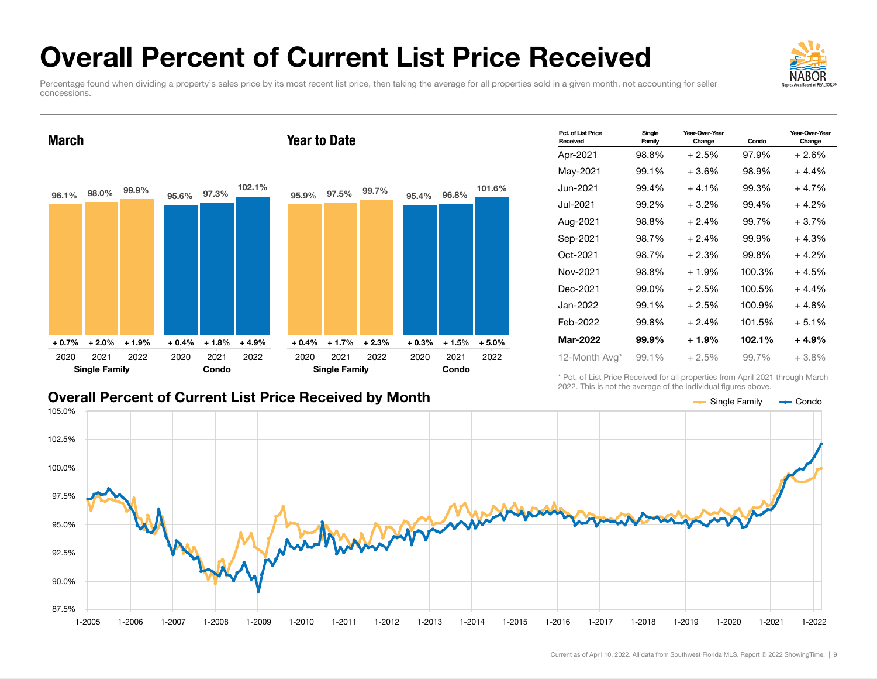# Overall Percent of Current List Price Received

Year to Date

Percentage found when dividing a property's sales price by its most recent list price, then taking the average for all properties sold in a given month, not accounting for seller concessions.

#### 96.1% 98.0% 99.9% + 0.7% + 2.0% + 1.9% 95.6% 97.3% 102.1%  $+0.4\%$   $+1.8\%$   $+4.9\%$ 2020 2021 2022 Single Family 2020 Condo 2021 2022 95.9% 97.5% 99.7% + 0.4% + 1.7% + 2.3% 95.4% 96.8% 101.6% + 0.3% + 1.5% + 5.0% 2020 2021 2022 Single Family 2020 Condo 2021 2022

#### Overall Percent of Current List Price Received by Month

March

Mar-2022 99.9% + 1.9% 102.1% + 4.9% 12-Month Avg\* 99.1% + 2.5% 99.7% + 3.8% \* Pct. of List Price Received for all properties from April 2021 through March

Year-Over-Year

Apr-2021 98.8% + 2.5% 97.9% + 2.6% May-2021 99.1% + 3.6% 98.9% + 4.4% Jun-2021 99.4% + 4.1% 99.3% + 4.7% Jul-2021 99.2% + 3.2% 99.4% + 4.2% Aug-2021 98.8% + 2.4% 99.7% + 3.7% Sep-2021 98.7% + 2.4% 99.9% + 4.3% Oct-2021 98.7% + 2.3% 99.8% + 4.2% Nov-2021 98.8% + 1.9% 100.3% + 4.5% Dec-2021 99.0% + 2.5% 100.5% + 4.4% Jan-2022 99.1% + 2.5% 100.9% + 4.8% Feb-2022 99.8% + 2.4% 101.5% + 5.1%

Change Condo

2022. This is not the average of the individual figures above.

Pct. of List Price Received

Single Family





Year-Over-Year Change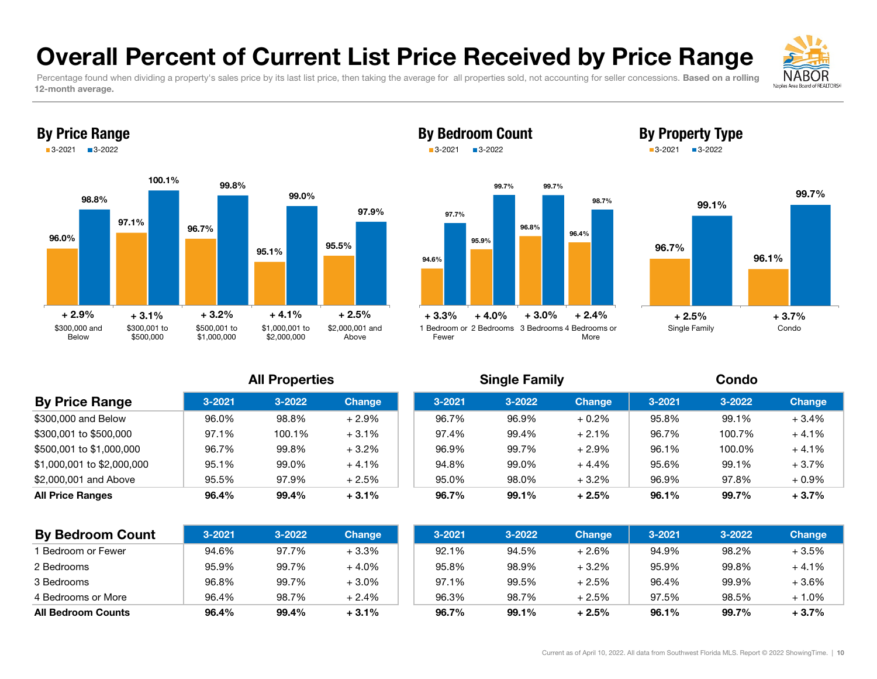### Overall Percent of Current List Price Received by Price Range

Percentage found when dividing a property's sales price by its last list price, then taking the average for all properties sold, not accounting for seller concessions. Based on a rolling 12-month average.





#### By Bedroom Count 3-20213-2022





By Property Type 3-2021 3-2022

#### All Properties Single Family Condo

| <b>By Price Range</b>      | $3 - 2021$ | 3-2022 | <b>Change</b> | $3 - 2021$ | 3-2022 | <b>Change</b> | $3 - 2021$ | 3-2022 | <b>Change</b> |
|----------------------------|------------|--------|---------------|------------|--------|---------------|------------|--------|---------------|
| \$300,000 and Below        | 96.0%      | 98.8%  | $+2.9%$       | 96.7%      | 96.9%  | $+0.2%$       | 95.8%      | 99.1%  | $+3.4%$       |
| \$300,001 to \$500,000     | 97.1%      | 100.1% | $+3.1%$       | 97.4%      | 99.4%  | $+2.1%$       | 96.7%      | 100.7% | $+4.1%$       |
| \$500,001 to \$1,000,000   | 96.7%      | 99.8%  | $+3.2%$       | 96.9%      | 99.7%  | $+2.9%$       | 96.1%      | 100.0% | $+4.1%$       |
| \$1,000,001 to \$2,000,000 | 95.1%      | 99.0%  | $+4.1%$       | 94.8%      | 99.0%  | $+4.4%$       | 95.6%      | 99.1%  | $+3.7%$       |
| \$2,000,001 and Above      | 95.5%      | 97.9%  | $+2.5%$       | 95.0%      | 98.0%  | $+3.2%$       | 96.9%      | 97.8%  | $+0.9\%$      |
| <b>All Price Ranges</b>    | 96.4%      | 99.4%  | $+3.1%$       | 96.7%      | 99.1%  | $+2.5%$       | 96.1%      | 99.7%  | $+3.7%$       |

| <b>By Bedroom Count</b>   | $3 - 2021$ | 3-2022 | <b>Change</b> | $3 - 2021$ | $3 - 2022$ | <b>Change</b> | $3 - 2021$ | $3 - 2022$ | <b>Change</b> |
|---------------------------|------------|--------|---------------|------------|------------|---------------|------------|------------|---------------|
| <b>Bedroom or Fewer</b>   | 94.6%      | 97.7%  | $+3.3%$       | 92.1%      | 94.5%      | $+2.6%$       | 94.9%      | 98.2%      | $+3.5%$       |
| 2 Bedrooms                | 95.9%      | 99.7%  | $+4.0%$       | 95.8%      | 98.9%      | $+3.2%$       | 95.9%      | 99.8%      | $+4.1%$       |
| 3 Bedrooms                | 96.8%      | 99.7%  | $+3.0%$       | 97.1%      | 99.5%      | $+2.5%$       | 96.4%      | 99.9%      | $+3.6%$       |
| 4 Bedrooms or More        | 96.4%      | 98.7%  | $+2.4%$       | 96.3%      | 98.7%      | $+2.5%$       | 97.5%      | 98.5%      | $+1.0%$       |
| <b>All Bedroom Counts</b> | 96.4%      | 99.4%  | $+3.1%$       | 96.7%      | 99.1%      | $+2.5%$       | 96.1%      | 99.7%      | $+3.7%$       |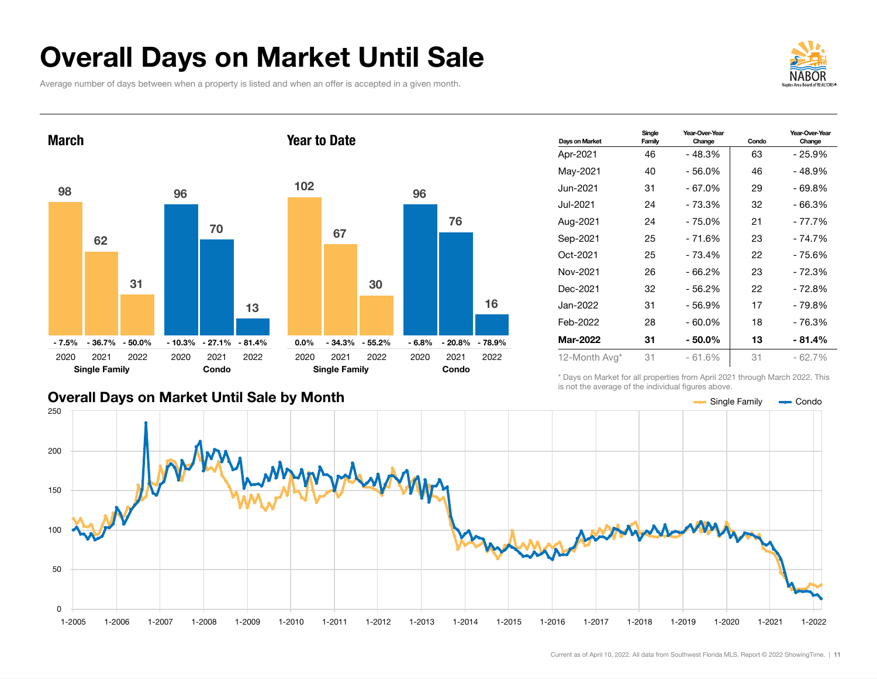## Overall Days on Market Until Sale

Average number of days between when a property is listed and when an offer is accepted in a given month.





#### Overall Days on Market Until Sale by Month

| Days on Market  | Single<br>Family | Year-Over-Year<br>Change | Condo | Year-Over-Year<br>Change |
|-----------------|------------------|--------------------------|-------|--------------------------|
| Apr-2021        | 46               | - 48.3%                  | 63    | - 25.9%                  |
| May-2021        | 40               | $-56.0%$                 | 46    | - 48.9%                  |
| Jun-2021        | 31               | $-67.0%$                 | 29    | - 69.8%                  |
| Jul-2021        | 24               | - 73.3%                  | 32    | - 66.3%                  |
| Aug-2021        | 24               | $-75.0%$                 | 21    | - 77.7%                  |
| Sep-2021        | 25               | $-71.6%$                 | 23    | $-74.7%$                 |
| Oct-2021        | 25               | $-73.4%$                 | 22    | - 75.6%                  |
| Nov-2021        | 26               | $-66.2%$                 | 23    | - 72.3%                  |
| Dec-2021        | 32               | $-56.2\%$                | 22    | - 72.8%                  |
| Jan-2022        | 31               | $-56.9%$                 | 17    | - 79.8%                  |
| Feb-2022        | 28               | $-60.0\%$                | 18    | - 76.3%                  |
| <b>Mar-2022</b> | 31               | $-50.0\%$                | 13    | - 81.4%                  |
| 12-Month Avg*   | 31               | $-61.6%$                 | 31    | $-62.7%$                 |

\* Days on Market for all properties from April 2021 through March 2022. This is not the average of the individual figures above.



16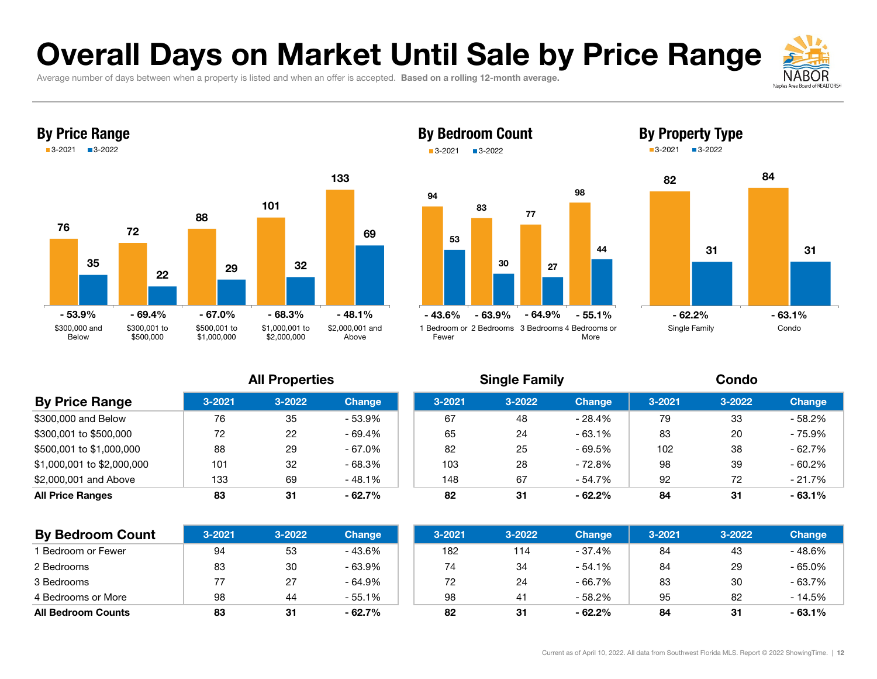# Overall Days on Market Until Sale by Price Range

Average number of days between when a property is listed and when an offer is accepted. Based on a rolling 12-month average.





#### By Bedroom Count **3-2021** ■3-2022





By Property Type

#### All Properties Single Family Condo

| 3-2022<br>$3 - 2021$<br>$3 - 2021$<br>$3 - 2022$<br>$3 - 2021$<br>$3 - 2022$<br><b>Change</b><br><b>Change</b><br>35<br>- 53.9%<br>67<br>33<br>79<br>76<br>48<br>- 28.4%<br>22<br>65<br>83<br>- 69.4%<br>24<br>20<br>72<br>- 63.1%<br>29<br>82<br>102<br>38<br>- 67.0%<br>25<br>88<br>- 69.5%<br>32<br>$-68.3%$<br>98<br>103<br>28<br>- 72.8%<br>39<br>101<br>67<br>- 54.7%<br>92<br>69<br>- 48.1%<br>72<br>133<br>148<br>82<br>31<br>31<br>83<br>31<br>$-62.7\%$<br>$-62.2%$<br>84 |                       | - - - - - - - - - - - |  | _______ |  |               |
|-------------------------------------------------------------------------------------------------------------------------------------------------------------------------------------------------------------------------------------------------------------------------------------------------------------------------------------------------------------------------------------------------------------------------------------------------------------------------------------|-----------------------|-----------------------|--|---------|--|---------------|
| \$300,000 and Below<br>\$300,001 to \$500,000<br>\$500,001 to \$1,000,000<br>\$1,000,001 to \$2,000,000<br>\$2,000,001 and Above<br><b>All Price Ranges</b>                                                                                                                                                                                                                                                                                                                         | <b>By Price Range</b> |                       |  |         |  | <b>Change</b> |
|                                                                                                                                                                                                                                                                                                                                                                                                                                                                                     |                       |                       |  |         |  | $-58.2%$      |
|                                                                                                                                                                                                                                                                                                                                                                                                                                                                                     |                       |                       |  |         |  | - 75.9%       |
|                                                                                                                                                                                                                                                                                                                                                                                                                                                                                     |                       |                       |  |         |  | $-62.7%$      |
|                                                                                                                                                                                                                                                                                                                                                                                                                                                                                     |                       |                       |  |         |  | $-60.2%$      |
|                                                                                                                                                                                                                                                                                                                                                                                                                                                                                     |                       |                       |  |         |  | $-21.7%$      |
|                                                                                                                                                                                                                                                                                                                                                                                                                                                                                     |                       |                       |  |         |  | $-63.1%$      |

| <b>By Bedroom Count</b>   | $3 - 2021$ | 3-2022 | <b>Change</b> | $3 - 2021$ | $3 - 2022$ | <b>Change</b> | 3-2021 | $3 - 2022$ | <b>Change</b> |
|---------------------------|------------|--------|---------------|------------|------------|---------------|--------|------------|---------------|
| <b>Bedroom or Fewer</b>   | 94         | 53     | - 43.6%       | 182        | 114        | - 37.4%       | 84     | 43         | - 48.6%       |
| 2 Bedrooms                | 83         | 30     | $-63.9%$      | 74         | 34         | - 54.1%       | 84     | 29         | $-65.0%$      |
| 3 Bedrooms                |            | 27     | $-64.9%$      | 72         | 24         | - 66.7%       | 83     | 30         | $-63.7%$      |
| 4 Bedrooms or More        | 98         | 44     | - 55.1%       | 98         |            | - 58.2%       | 95     | 82         | - 14.5%       |
| <b>All Bedroom Counts</b> | 83         | 31     | $-62.7%$      | 82         | 31         | $-62.2%$      | 84     | 31         | $-63.1%$      |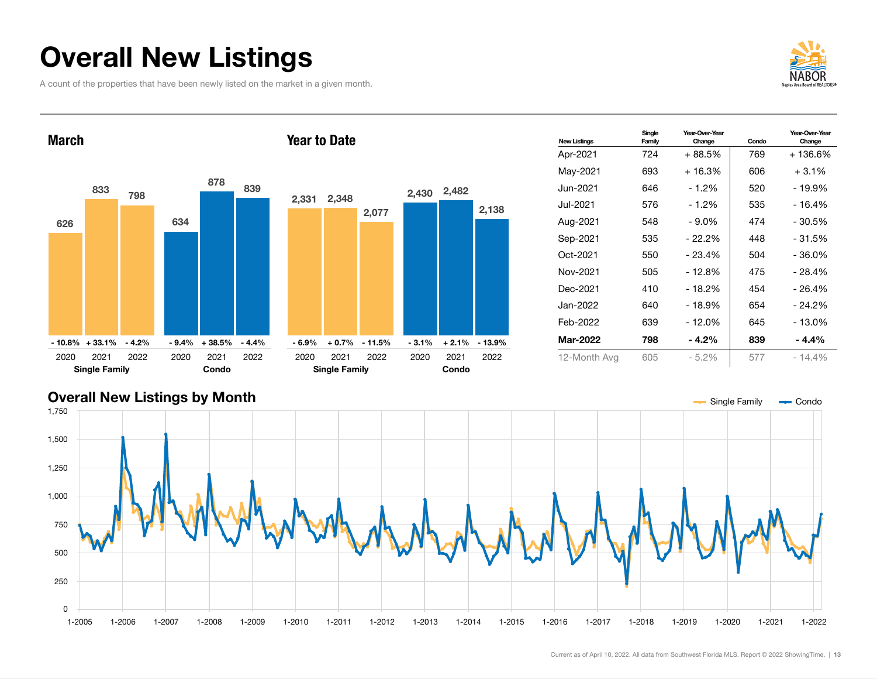# Overall New Listings

A count of the properties that have been newly listed on the market in a given month.



Change



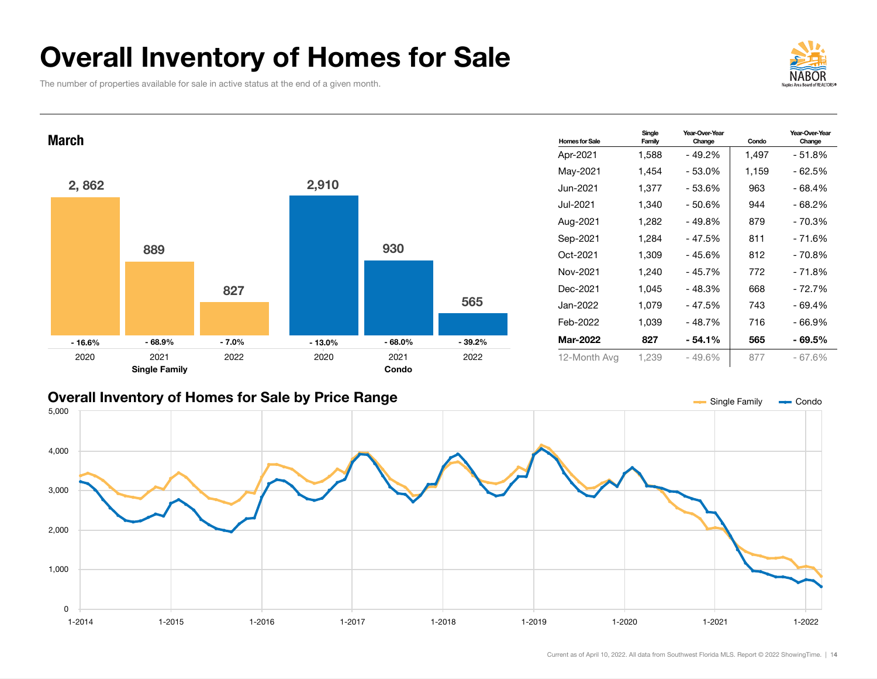# Overall Inventory of Homes for Sale

The number of properties available for sale in active status at the end of a given month.





#### Overall Inventory of Homes for Sale by Price Range

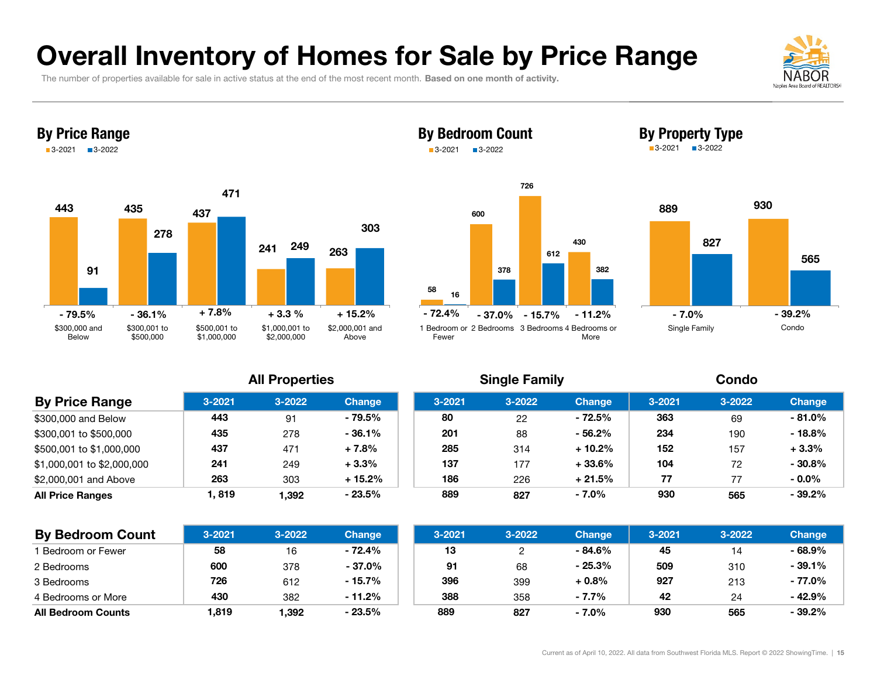## Overall Inventory of Homes for Sale by Price Range

The number of properties available for sale in active status at the end of the most recent month. Based on one month of activity.





**By Price Range 3-2021 3-2022 Change 3-2021** 

\$300,000 and Below 1 443

\$300,001 to \$500,000 435

\$500,001 to \$1,000,000 437

\$1,000,001 to \$2,000,000 241

\$2,000,001 and Above 263

All Price Ranges 1, 819

#### By Bedroom Count 3-20213-2022





#### **All Properties**

|     | <b>All Properties</b> |               |            | <b>Single Family</b> |               |            | Condo      |               |
|-----|-----------------------|---------------|------------|----------------------|---------------|------------|------------|---------------|
| 21  | $3 - 2022$            | <b>Change</b> | $3 - 2021$ | $3 - 2022$           | <b>Change</b> | $3 - 2021$ | $3 - 2022$ | <b>Change</b> |
| 3   | 91                    | - 79.5%       | 80         | 22                   | $-72.5%$      | 363        | 69         | $-81.0%$      |
| 5   | 278                   | $-36.1\%$     | 201        | 88                   | $-56.2%$      | 234        | 190        | $-18.8%$      |
|     | 471                   | $+7.8%$       | 285        | 314                  | $+10.2%$      | 152        | 157        | $+3.3%$       |
|     | 249                   | $+3.3%$       | 137        | 177                  | $+33.6%$      | 104        | 72         | $-30.8%$      |
|     | 303                   | $+15.2%$      | 186        | 226                  | $+21.5%$      | 77         | 77         | $-0.0\%$      |
| 19؛ | 1.392                 | $-23.5%$      | 889        | 827                  | $-7.0\%$      | 930        | 565        | $-39.2%$      |

| <b>By Bedroom Count</b>   | $3 - 2021$ | $3 - 2022$ | <b>Change</b> | $3 - 2021$ | 3-2022 | <b>Change</b> | $3 - 2021$ | $3 - 2022$ | <b>Change</b> |
|---------------------------|------------|------------|---------------|------------|--------|---------------|------------|------------|---------------|
| 1 Bedroom or Fewer        | 58         | 16         | - 72.4%       | 13         |        | - 84.6%       | 45         | 14         | $-68.9%$      |
| 2 Bedrooms                | 600        | 378        | $-37.0\%$     | 91         | 68     | $-25.3%$      | 509        | 310        | $-39.1%$      |
| 3 Bedrooms                | 726        | 612        | $-15.7\%$     | 396        | 399    | $+0.8%$       | 927        | 213        | - 77.0%       |
| 4 Bedrooms or More        | 430        | 382        | $-11.2%$      | 388        | 358    | $-7.7\%$      | 42         | 24         | $-42.9%$      |
| <b>All Bedroom Counts</b> | 819,ا      | 1,392      | $-23.5%$      | 889        | 827    | $-7.0\%$      | 930        | 565        | $-39.2\%$     |

### By Property Type

3-2021 3-2022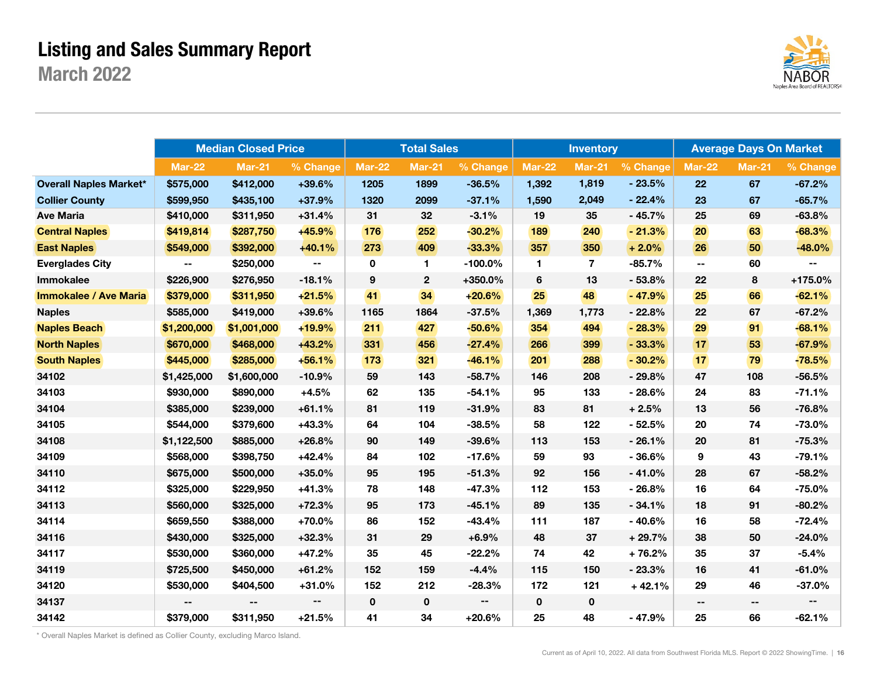### Listing and Sales Summary Report

March 2022



|                               |               | <b>Median Closed Price</b> |                          |             | <b>Total Sales</b> |            |               | <b>Inventory</b> |          |               | <b>Average Days On Market</b> |              |
|-------------------------------|---------------|----------------------------|--------------------------|-------------|--------------------|------------|---------------|------------------|----------|---------------|-------------------------------|--------------|
|                               | <b>Mar-22</b> | <b>Mar-21</b>              | % Change                 | Mar-22      | Mar-21             | % Change   | <b>Mar-22</b> | <b>Mar-21</b>    | % Change | <b>Mar-22</b> | <b>Mar-21</b>                 | % Change     |
| <b>Overall Naples Market*</b> | \$575,000     | \$412,000                  | +39.6%                   | 1205        | 1899               | $-36.5%$   | 1,392         | 1,819            | $-23.5%$ | 22            | 67                            | $-67.2%$     |
| <b>Collier County</b>         | \$599,950     | \$435,100                  | $+37.9%$                 | 1320        | 2099               | $-37.1%$   | 1,590         | 2,049            | $-22.4%$ | 23            | 67                            | $-65.7%$     |
| <b>Ave Maria</b>              | \$410,000     | \$311,950                  | $+31.4%$                 | 31          | 32                 | $-3.1%$    | 19            | 35               | $-45.7%$ | 25            | 69                            | $-63.8%$     |
| <b>Central Naples</b>         | \$419,814     | \$287,750                  | $+45.9%$                 | 176         | 252                | $-30.2%$   | 189           | 240              | $-21.3%$ | 20            | 63                            | $-68.3%$     |
| <b>East Naples</b>            | \$549,000     | \$392,000                  | $+40.1%$                 | 273         | 409                | $-33.3%$   | 357           | 350              | $+2.0%$  | 26            | 50                            | $-48.0%$     |
| <b>Everglades City</b>        | $\sim$        | \$250,000                  | $\overline{\phantom{a}}$ | 0           | 1.                 | $-100.0\%$ | 1.            | $\overline{7}$   | $-85.7%$ | --            | 60                            | ۰.           |
| Immokalee                     | \$226,900     | \$276,950                  | $-18.1%$                 | 9           | $\mathbf 2$        | +350.0%    | 6             | 13               | $-53.8%$ | 22            | 8                             | +175.0%      |
| <b>Immokalee / Ave Maria</b>  | \$379,000     | \$311,950                  | $+21.5%$                 | 41          | 34                 | $+20.6%$   | 25            | 48               | $-47.9%$ | 25            | 66                            | $-62.1%$     |
| <b>Naples</b>                 | \$585,000     | \$419,000                  | $+39.6%$                 | 1165        | 1864               | $-37.5%$   | 1,369         | 1,773            | $-22.8%$ | 22            | 67                            | $-67.2%$     |
| <b>Naples Beach</b>           | \$1,200,000   | \$1,001,000                | $+19.9%$                 | 211         | 427                | $-50.6%$   | 354           | 494              | $-28.3%$ | 29            | 91                            | $-68.1%$     |
| <b>North Naples</b>           | \$670,000     | \$468,000                  | $+43.2%$                 | 331         | 456                | $-27.4%$   | 266           | 399              | $-33.3%$ | 17            | 53                            | $-67.9%$     |
| <b>South Naples</b>           | \$445,000     | \$285,000                  | $+56.1%$                 | 173         | 321                | $-46.1%$   | 201           | 288              | $-30.2%$ | 17            | 79                            | $-78.5%$     |
| 34102                         | \$1,425,000   | \$1,600,000                | $-10.9%$                 | 59          | 143                | $-58.7%$   | 146           | 208              | $-29.8%$ | 47            | 108                           | $-56.5%$     |
| 34103                         | \$930,000     | \$890,000                  | $+4.5%$                  | 62          | 135                | $-54.1%$   | 95            | 133              | $-28.6%$ | 24            | 83                            | $-71.1%$     |
| 34104                         | \$385,000     | \$239,000                  | $+61.1%$                 | 81          | 119                | $-31.9%$   | 83            | 81               | $+2.5%$  | 13            | 56                            | $-76.8%$     |
| 34105                         | \$544,000     | \$379,600                  | $+43.3%$                 | 64          | 104                | $-38.5%$   | 58            | 122              | $-52.5%$ | 20            | 74                            | $-73.0%$     |
| 34108                         | \$1,122,500   | \$885,000                  | $+26.8%$                 | 90          | 149                | $-39.6%$   | 113           | 153              | $-26.1%$ | 20            | 81                            | $-75.3%$     |
| 34109                         | \$568,000     | \$398,750                  | $+42.4%$                 | 84          | 102                | $-17.6%$   | 59            | 93               | $-36.6%$ | 9             | 43                            | $-79.1%$     |
| 34110                         | \$675,000     | \$500,000                  | $+35.0%$                 | 95          | 195                | $-51.3%$   | 92            | 156              | $-41.0%$ | 28            | 67                            | $-58.2%$     |
| 34112                         | \$325,000     | \$229,950                  | $+41.3%$                 | 78          | 148                | $-47.3%$   | 112           | 153              | $-26.8%$ | 16            | 64                            | $-75.0%$     |
| 34113                         | \$560,000     | \$325,000                  | $+72.3%$                 | 95          | 173                | $-45.1%$   | 89            | 135              | $-34.1%$ | 18            | 91                            | $-80.2%$     |
| 34114                         | \$659,550     | \$388,000                  | $+70.0%$                 | 86          | 152                | $-43.4%$   | 111           | 187              | $-40.6%$ | 16            | 58                            | $-72.4%$     |
| 34116                         | \$430,000     | \$325,000                  | $+32.3%$                 | 31          | 29                 | $+6.9%$    | 48            | 37               | $+29.7%$ | 38            | 50                            | $-24.0%$     |
| 34117                         | \$530,000     | \$360,000                  | $+47.2%$                 | 35          | 45                 | $-22.2%$   | 74            | 42               | $+76.2%$ | 35            | 37                            | $-5.4%$      |
| 34119                         | \$725,500     | \$450,000                  | $+61.2%$                 | 152         | 159                | $-4.4%$    | 115           | 150              | $-23.3%$ | 16            | 41                            | $-61.0%$     |
| 34120                         | \$530,000     | \$404,500                  | $+31.0%$                 | 152         | 212                | $-28.3%$   | 172           | 121              | $+42.1%$ | 29            | 46                            | $-37.0%$     |
| 34137                         |               | ۰.                         | $\overline{\phantom{a}}$ | $\mathbf 0$ | $\pmb{0}$          | $\sim$     | $\mathbf 0$   | $\mathbf 0$      |          | ۰.            | ۰.                            | $\mathbf{u}$ |
| 34142                         | \$379,000     | \$311,950                  | $+21.5%$                 | 41          | 34                 | $+20.6%$   | 25            | 48               | $-47.9%$ | 25            | 66                            | $-62.1%$     |

\* Overall Naples Market is defined as Collier County, excluding Marco Island.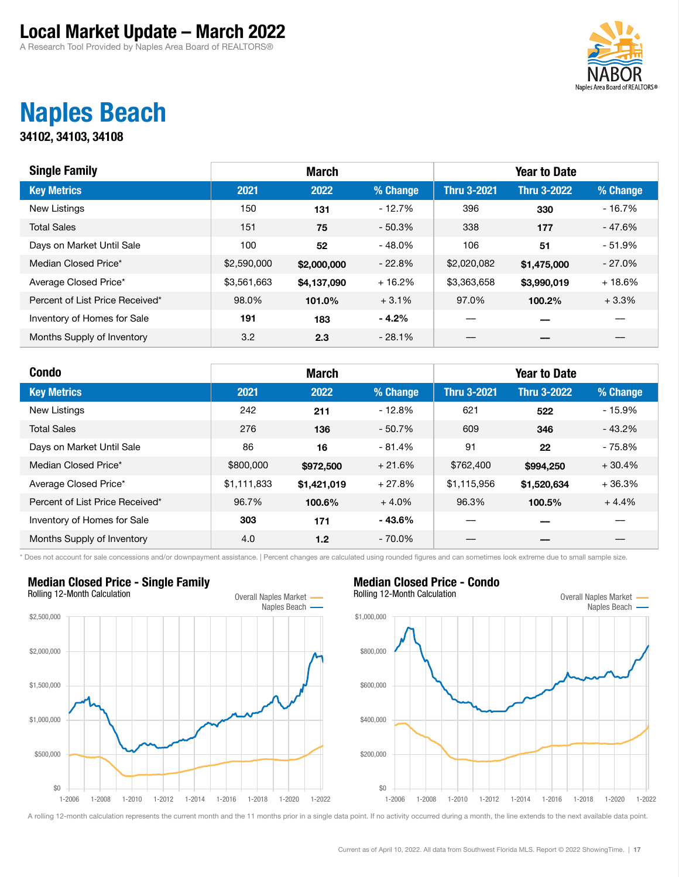A Research Tool Provided by Naples Area Board of REALTORS®



### Naples Beach

34102, 34103, 34108

| <b>Single Family</b>            |             | <b>March</b> |          |                    | <b>Year to Date</b> |           |
|---------------------------------|-------------|--------------|----------|--------------------|---------------------|-----------|
| <b>Key Metrics</b>              | 2021        | 2022         | % Change | <b>Thru 3-2021</b> | <b>Thru 3-2022</b>  | % Change  |
| <b>New Listings</b>             | 150         | 131          | $-12.7%$ | 396                | 330                 | $-16.7%$  |
| <b>Total Sales</b>              | 151         | 75           | $-50.3%$ | 338                | 177                 | - 47.6%   |
| Days on Market Until Sale       | 100         | 52           | $-48.0%$ | 106                | 51                  | $-51.9%$  |
| Median Closed Price*            | \$2,590,000 | \$2,000,000  | $-22.8%$ | \$2,020,082        | \$1,475,000         | $-27.0\%$ |
| Average Closed Price*           | \$3,561,663 | \$4,137,090  | $+16.2%$ | \$3,363,658        | \$3,990,019         | $+18.6%$  |
| Percent of List Price Received* | 98.0%       | 101.0%       | $+3.1%$  | 97.0%              | 100.2%              | $+3.3%$   |
| Inventory of Homes for Sale     | 191         | 183          | $-4.2%$  |                    |                     |           |
| Months Supply of Inventory      | 3.2         | 2.3          | $-28.1%$ |                    |                     |           |

| <b>Condo</b>                    |             | <b>March</b>     |           |                    | <b>Year to Date</b> |          |
|---------------------------------|-------------|------------------|-----------|--------------------|---------------------|----------|
| <b>Key Metrics</b>              | 2021        | 2022             | % Change  | <b>Thru 3-2021</b> | <b>Thru 3-2022</b>  | % Change |
| <b>New Listings</b>             | 242         | 211              | $-12.8%$  | 621                | 522                 | $-15.9%$ |
| <b>Total Sales</b>              | 276         | 136              | $-50.7%$  | 609                | 346                 | $-43.2%$ |
| Days on Market Until Sale       | 86          | 16               | $-81.4%$  | 91                 | 22                  | $-75.8%$ |
| Median Closed Price*            | \$800,000   | \$972,500        | $+21.6%$  | \$762,400          | \$994,250           | $+30.4%$ |
| Average Closed Price*           | \$1,111,833 | \$1,421,019      | $+27.8%$  | \$1,115,956        | \$1,520,634         | $+36.3%$ |
| Percent of List Price Received* | 96.7%       | 100.6%           | $+4.0%$   | 96.3%              | 100.5%              | $+4.4%$  |
| Inventory of Homes for Sale     | 303         | 171              | $-43.6%$  |                    |                     |          |
| Months Supply of Inventory      | 4.0         | 1.2 <sub>2</sub> | $-70.0\%$ |                    |                     |          |

\* Does not account for sale concessions and/or downpayment assistance. | Percent changes are calculated using rounded figures and can sometimes look extreme due to small sample size.

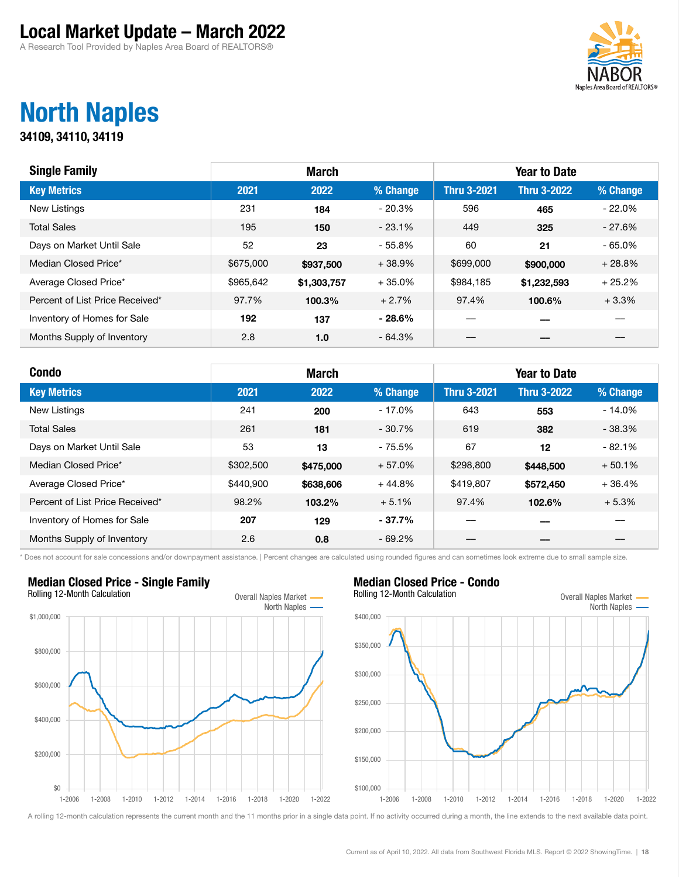A Research Tool Provided by Naples Area Board of REALTORS®



### North Naples

34109, 34110, 34119

| <b>Single Family</b>            |           | <b>March</b> |          |                    | <b>Year to Date</b> |          |
|---------------------------------|-----------|--------------|----------|--------------------|---------------------|----------|
| <b>Key Metrics</b>              | 2021      | 2022         | % Change | <b>Thru 3-2021</b> | <b>Thru 3-2022</b>  | % Change |
| <b>New Listings</b>             | 231       | 184          | $-20.3%$ | 596                | 465                 | $-22.0%$ |
| <b>Total Sales</b>              | 195       | 150          | $-23.1%$ | 449                | 325                 | $-27.6%$ |
| Days on Market Until Sale       | 52        | 23           | $-55.8%$ | 60                 | 21                  | $-65.0%$ |
| Median Closed Price*            | \$675,000 | \$937,500    | $+38.9%$ | \$699,000          | \$900,000           | $+28.8%$ |
| Average Closed Price*           | \$965,642 | \$1,303,757  | $+35.0%$ | \$984,185          | \$1,232,593         | $+25.2%$ |
| Percent of List Price Received* | 97.7%     | 100.3%       | $+2.7%$  | 97.4%              | 100.6%              | $+3.3%$  |
| Inventory of Homes for Sale     | 192       | 137          | $-28.6%$ |                    |                     |          |
| Months Supply of Inventory      | 2.8       | 1.0          | $-64.3%$ |                    |                     |          |

| <b>Condo</b>                    |           | <b>March</b> |           |                    | <b>Year to Date</b> |          |
|---------------------------------|-----------|--------------|-----------|--------------------|---------------------|----------|
| <b>Key Metrics</b>              | 2021      | 2022         | % Change  | <b>Thru 3-2021</b> | <b>Thru 3-2022</b>  | % Change |
| <b>New Listings</b>             | 241       | 200          | $-17.0%$  | 643                | 553                 | $-14.0%$ |
| <b>Total Sales</b>              | 261       | 181          | $-30.7%$  | 619                | 382                 | $-38.3%$ |
| Days on Market Until Sale       | 53        | 13           | $-75.5%$  | 67                 | 12                  | $-82.1%$ |
| Median Closed Price*            | \$302,500 | \$475,000    | $+57.0%$  | \$298,800          | \$448,500           | $+50.1%$ |
| Average Closed Price*           | \$440,900 | \$638,606    | $+44.8%$  | \$419,807          | \$572,450           | $+36.4%$ |
| Percent of List Price Received* | 98.2%     | 103.2%       | $+5.1%$   | 97.4%              | 102.6%              | $+5.3%$  |
| Inventory of Homes for Sale     | 207       | 129          | $-37.7\%$ |                    |                     |          |
| Months Supply of Inventory      | 2.6       | 0.8          | $-69.2%$  |                    |                     |          |

\* Does not account for sale concessions and/or downpayment assistance. | Percent changes are calculated using rounded figures and can sometimes look extreme due to small sample size.

### Median Closed Price - Single Family Rolling 12-Month Calculation **Calculation** Overall Naples Market -North Naples 1-2006 1-2008 1-2010 1-2012 1-2014 1-2016 1-2018 1-2020 1-2022 \$0 \$200,000 \$400,000 \$600,000 \$800,000 \$1,000,000



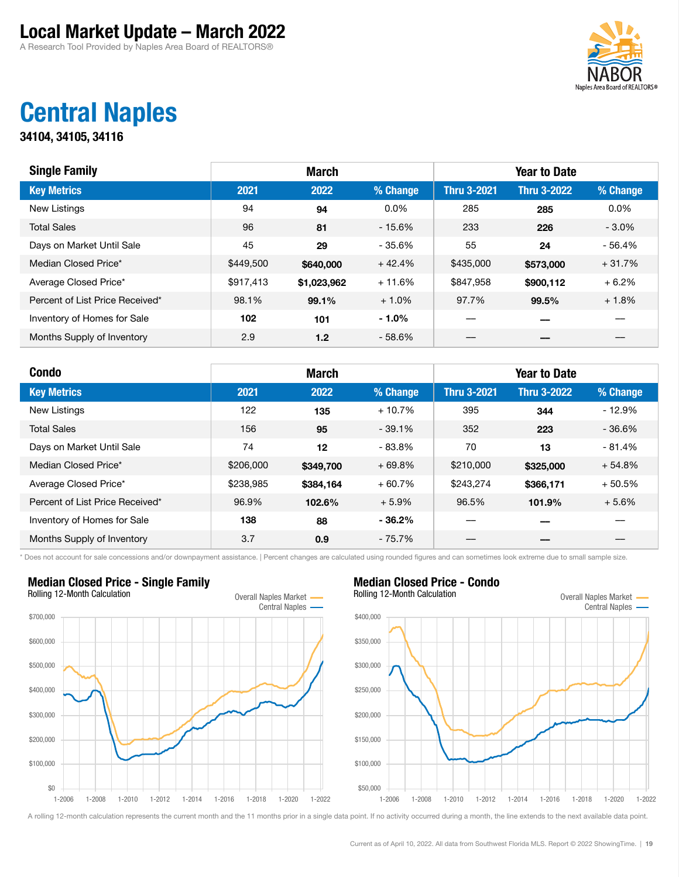A Research Tool Provided by Naples Area Board of REALTORS®



### Central Naples

34104, 34105, 34116

| <b>Single Family</b>            |           | <b>March</b> |          |                    | <b>Year to Date</b> |          |
|---------------------------------|-----------|--------------|----------|--------------------|---------------------|----------|
| <b>Key Metrics</b>              | 2021      | 2022         | % Change | <b>Thru 3-2021</b> | <b>Thru 3-2022</b>  | % Change |
| <b>New Listings</b>             | 94        | 94           | $0.0\%$  | 285                | 285                 | $0.0\%$  |
| <b>Total Sales</b>              | 96        | 81           | $-15.6%$ | 233                | 226                 | $-3.0\%$ |
| Days on Market Until Sale       | 45        | 29           | - 35.6%  | 55                 | 24                  | $-56.4%$ |
| Median Closed Price*            | \$449,500 | \$640,000    | $+42.4%$ | \$435,000          | \$573,000           | $+31.7%$ |
| Average Closed Price*           | \$917,413 | \$1,023,962  | $+11.6%$ | \$847,958          | \$900,112           | $+6.2%$  |
| Percent of List Price Received* | 98.1%     | 99.1%        | $+1.0%$  | 97.7%              | 99.5%               | $+1.8%$  |
| Inventory of Homes for Sale     | 102       | 101          | $-1.0%$  |                    |                     |          |
| Months Supply of Inventory      | 2.9       | 1.2          | $-58.6%$ |                    |                     |          |

| <b>Condo</b>                    |           | <b>March</b> |           |                    | <b>Year to Date</b> |           |
|---------------------------------|-----------|--------------|-----------|--------------------|---------------------|-----------|
| <b>Key Metrics</b>              | 2021      | 2022         | % Change  | <b>Thru 3-2021</b> | <b>Thru 3-2022</b>  | % Change  |
| New Listings                    | 122       | 135          | $+10.7%$  | 395                | 344                 | $-12.9%$  |
| <b>Total Sales</b>              | 156       | 95           | $-39.1%$  | 352                | 223                 | $-36.6\%$ |
| Days on Market Until Sale       | 74        | 12           | $-83.8%$  | 70                 | 13                  | $-81.4%$  |
| Median Closed Price*            | \$206,000 | \$349,700    | $+69.8%$  | \$210,000          | \$325,000           | $+54.8%$  |
| Average Closed Price*           | \$238,985 | \$384.164    | $+60.7%$  | \$243,274          | \$366,171           | $+50.5%$  |
| Percent of List Price Received* | 96.9%     | 102.6%       | $+5.9%$   | 96.5%              | 101.9%              | $+5.6%$   |
| Inventory of Homes for Sale     | 138       | 88           | $-36.2%$  |                    |                     |           |
| Months Supply of Inventory      | 3.7       | 0.9          | $-75.7\%$ |                    |                     |           |

\* Does not account for sale concessions and/or downpayment assistance. | Percent changes are calculated using rounded figures and can sometimes look extreme due to small sample size.

### Median Closed Price - Single Family Rolling 12-Month Calculation **Calculation** Overall Naples Market -Central Naples -1-2006 1-2008 1-2010 1-2012 1-2014 1-2016 1-2018 1-2020 1-2022 \$0 \$100,000 \$200,000 \$300,000 \$400,000 \$500,000 \$600,000 \$700,000

Median Closed Price - Condo Rolling 12-Month Calculation Calculation Coverall Naples Market -

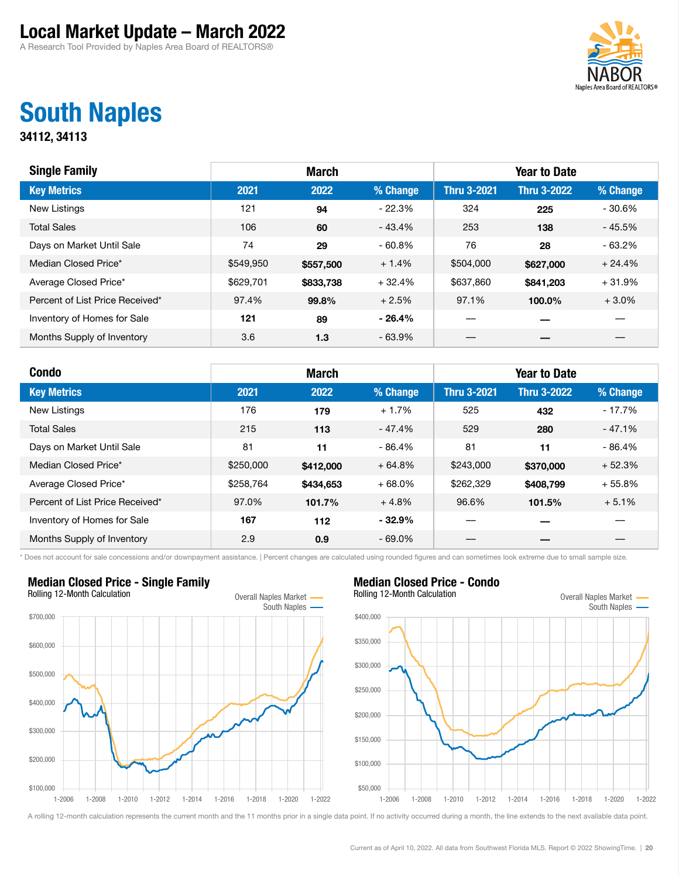A Research Tool Provided by Naples Area Board of REALTORS®



### South Naples

34112, 34113

| <b>Single Family</b>            | <b>March</b> |           |           | <b>Year to Date</b> |                    |          |  |
|---------------------------------|--------------|-----------|-----------|---------------------|--------------------|----------|--|
| <b>Key Metrics</b>              | 2021         | 2022      | % Change  | <b>Thru 3-2021</b>  | <b>Thru 3-2022</b> | % Change |  |
| <b>New Listings</b>             | 121          | 94        | $-22.3%$  | 324                 | 225                | $-30.6%$ |  |
| <b>Total Sales</b>              | 106          | 60        | $-43.4%$  | 253                 | 138                | $-45.5%$ |  |
| Days on Market Until Sale       | 74           | 29        | $-60.8\%$ | 76                  | 28                 | - 63.2%  |  |
| Median Closed Price*            | \$549,950    | \$557,500 | $+1.4%$   | \$504,000           | \$627,000          | $+24.4%$ |  |
| Average Closed Price*           | \$629,701    | \$833,738 | $+32.4%$  | \$637,860           | \$841,203          | $+31.9%$ |  |
| Percent of List Price Received* | 97.4%        | 99.8%     | $+2.5%$   | 97.1%               | 100.0%             | $+3.0%$  |  |
| Inventory of Homes for Sale     | 121          | 89        | $-26.4%$  |                     |                    |          |  |
| Months Supply of Inventory      | 3.6          | 1.3       | $-63.9%$  |                     |                    |          |  |

| <b>Condo</b>                    | <b>March</b> |           |           | <b>Year to Date</b> |                    |          |  |
|---------------------------------|--------------|-----------|-----------|---------------------|--------------------|----------|--|
| <b>Key Metrics</b>              | 2021         | 2022      | % Change  | <b>Thru 3-2021</b>  | <b>Thru 3-2022</b> | % Change |  |
| <b>New Listings</b>             | 176          | 179       | $+1.7%$   | 525                 | 432                | $-17.7%$ |  |
| <b>Total Sales</b>              | 215          | 113       | $-47.4%$  | 529                 | 280                | $-47.1%$ |  |
| Days on Market Until Sale       | 81           | 11        | $-86.4%$  | 81                  | 11                 | $-86.4%$ |  |
| Median Closed Price*            | \$250,000    | \$412,000 | $+64.8%$  | \$243,000           | \$370,000          | $+52.3%$ |  |
| Average Closed Price*           | \$258,764    | \$434,653 | $+68.0%$  | \$262,329           | \$408.799          | $+55.8%$ |  |
| Percent of List Price Received* | 97.0%        | 101.7%    | $+4.8%$   | 96.6%               | 101.5%             | $+5.1%$  |  |
| Inventory of Homes for Sale     | 167          | 112       | $-32.9%$  |                     |                    |          |  |
| Months Supply of Inventory      | 2.9          | 0.9       | $-69.0\%$ |                     |                    |          |  |

\* Does not account for sale concessions and/or downpayment assistance. | Percent changes are calculated using rounded figures and can sometimes look extreme due to small sample size.

### Median Closed Price - Single Family Rolling 12-Month Calculation **Calculation** Overall Naples Market -South Naples 1-2006 1-2008 1-2010 1-2012 1-2014 1-2016 1-2018 1-2020 1-2022 \$100,000 \$200,000 \$300,000 \$400,000 \$500,000 \$600,000 \$700,000

Median Closed Price - Condo Rolling 12-Month Calculation Calculation Coverall Naples Market -

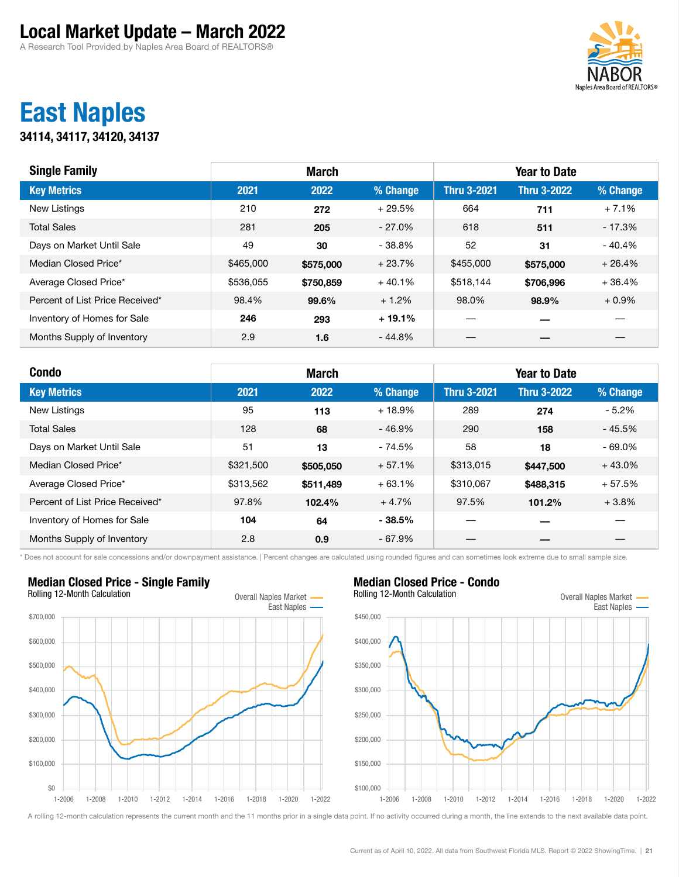A Research Tool Provided by Naples Area Board of REALTORS®



### East Naples

34114, 34117, 34120, 34137

| <b>Single Family</b>            | <b>March</b> |           |           | <b>Year to Date</b> |                    |          |  |
|---------------------------------|--------------|-----------|-----------|---------------------|--------------------|----------|--|
| <b>Key Metrics</b>              | 2021         | 2022      | % Change  | <b>Thru 3-2021</b>  | <b>Thru 3-2022</b> | % Change |  |
| New Listings                    | 210          | 272       | $+29.5%$  | 664                 | 711                | $+7.1%$  |  |
| <b>Total Sales</b>              | 281          | 205       | $-27.0\%$ | 618                 | 511                | $-17.3%$ |  |
| Days on Market Until Sale       | 49           | 30        | $-38.8\%$ | 52                  | 31                 | - 40.4%  |  |
| Median Closed Price*            | \$465,000    | \$575,000 | $+23.7%$  | \$455,000           | \$575,000          | $+26.4%$ |  |
| Average Closed Price*           | \$536,055    | \$750,859 | $+40.1%$  | \$518,144           | \$706,996          | $+36.4%$ |  |
| Percent of List Price Received* | 98.4%        | 99.6%     | $+1.2%$   | 98.0%               | 98.9%              | $+0.9\%$ |  |
| Inventory of Homes for Sale     | 246          | 293       | $+19.1%$  |                     |                    |          |  |
| Months Supply of Inventory      | 2.9          | 1.6       | $-44.8%$  |                     |                    |          |  |

| <b>Condo</b>                    | <b>March</b> |           |          | <b>Year to Date</b> |                    |           |  |
|---------------------------------|--------------|-----------|----------|---------------------|--------------------|-----------|--|
| <b>Key Metrics</b>              | 2021         | 2022      | % Change | <b>Thru 3-2021</b>  | <b>Thru 3-2022</b> | % Change  |  |
| <b>New Listings</b>             | 95           | 113       | $+18.9%$ | 289                 | 274                | $-5.2%$   |  |
| <b>Total Sales</b>              | 128          | 68        | $-46.9%$ | 290                 | 158                | $-45.5%$  |  |
| Days on Market Until Sale       | 51           | 13        | $-74.5%$ | 58                  | 18                 | $-69.0\%$ |  |
| Median Closed Price*            | \$321,500    | \$505,050 | $+57.1%$ | \$313,015           | \$447,500          | $+43.0%$  |  |
| Average Closed Price*           | \$313,562    | \$511,489 | $+63.1%$ | \$310,067           | \$488,315          | $+57.5%$  |  |
| Percent of List Price Received* | 97.8%        | 102.4%    | $+4.7%$  | 97.5%               | 101.2%             | $+3.8%$   |  |
| Inventory of Homes for Sale     | 104          | 64        | $-38.5%$ |                     |                    |           |  |
| Months Supply of Inventory      | 2.8          | 0.9       | $-67.9%$ |                     |                    |           |  |

\* Does not account for sale concessions and/or downpayment assistance. | Percent changes are calculated using rounded figures and can sometimes look extreme due to small sample size.

### Median Closed Price - Single Family Rolling 12-Month Calculation **Calculation** Overall Naples Market -East Naples 1-2006 1-2008 1-2010 1-2012 1-2014 1-2016 1-2018 1-2020 1-2022 \$0 \$100,000 \$200,000 \$300,000 \$400,000 \$500,000 \$600,000 \$700,000

Median Closed Price - Condo Rolling 12-Month Calculation Calculation Coverall Naples Market -